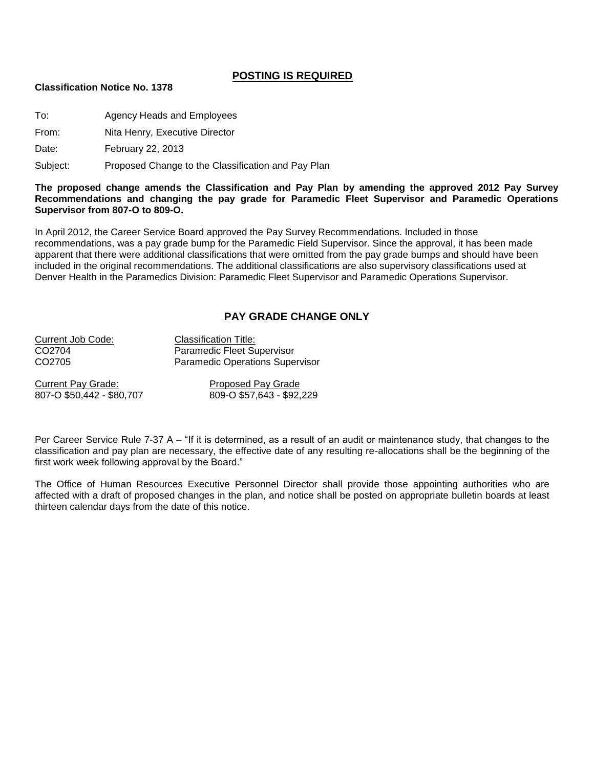## **POSTING IS REQUIRED**

## **Classification Notice No. 1378**

To: Agency Heads and Employees

From: Nita Henry, Executive Director

Date: February 22, 2013

Subject: Proposed Change to the Classification and Pay Plan

**The proposed change amends the Classification and Pay Plan by amending the approved 2012 Pay Survey Recommendations and changing the pay grade for Paramedic Fleet Supervisor and Paramedic Operations Supervisor from 807-O to 809-O.**

In April 2012, the Career Service Board approved the Pay Survey Recommendations. Included in those recommendations, was a pay grade bump for the Paramedic Field Supervisor. Since the approval, it has been made apparent that there were additional classifications that were omitted from the pay grade bumps and should have been included in the original recommendations. The additional classifications are also supervisory classifications used at Denver Health in the Paramedics Division: Paramedic Fleet Supervisor and Paramedic Operations Supervisor.

## **PAY GRADE CHANGE ONLY**

| Current Job Code: | <b>Classification Title:</b>           |
|-------------------|----------------------------------------|
| CO2704            | Paramedic Fleet Supervisor             |
| CO2705            | <b>Paramedic Operations Supervisor</b> |
|                   |                                        |

Current Pay Grade: Proposed Pay Grade

807-O \$50,442 - \$80,707 809-O \$57,643 - \$92,229

Per Career Service Rule 7-37 A – "If it is determined, as a result of an audit or maintenance study, that changes to the classification and pay plan are necessary, the effective date of any resulting re-allocations shall be the beginning of the first work week following approval by the Board."

The Office of Human Resources Executive Personnel Director shall provide those appointing authorities who are affected with a draft of proposed changes in the plan, and notice shall be posted on appropriate bulletin boards at least thirteen calendar days from the date of this notice.